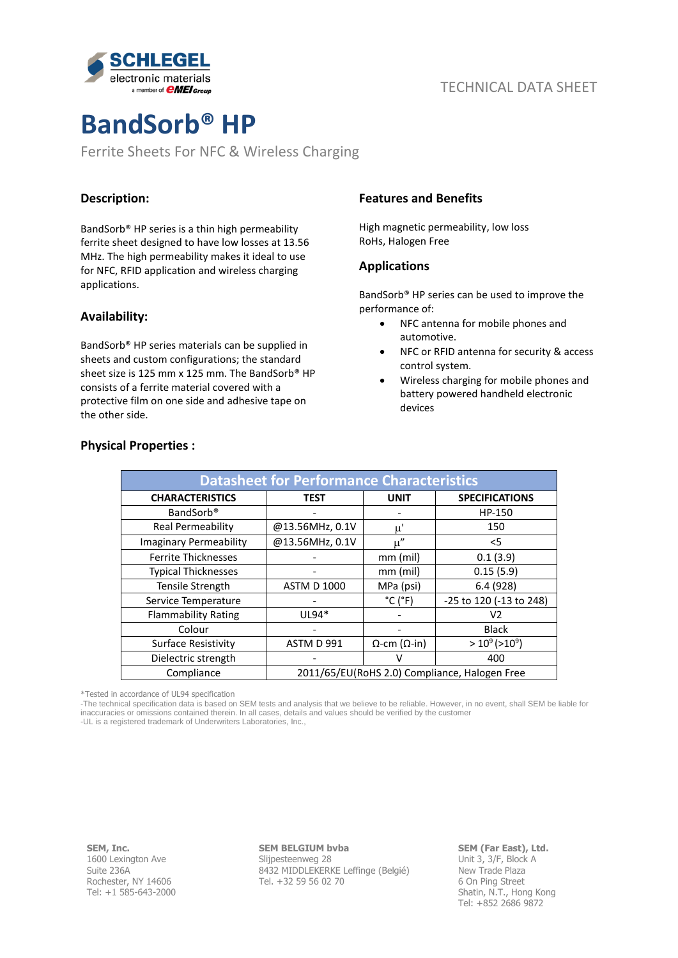

# **BandSorb® HP**

Ferrite Sheets For NFC & Wireless Charging

### **Description:**

BandSorb® HP series is a thin high permeability ferrite sheet designed to have low losses at 13.56 MHz. The high permeability makes it ideal to use for NFC, RFID application and wireless charging applications.

#### **Availability:**

BandSorb® HP series materials can be supplied in sheets and custom configurations; the standard sheet size is 125 mm x 125 mm. The BandSorb® HP consists of a ferrite material covered with a protective film on one side and adhesive tape on the other side.

#### **Features and Benefits**

High magnetic permeability, low loss RoHs, Halogen Free

#### **Applications**

BandSorb® HP series can be used to improve the performance of:

- NFC antenna for mobile phones and automotive.
- NFC or RFID antenna for security & access control system.
- Wireless charging for mobile phones and battery powered handheld electronic devices

| <b>Datasheet for Performance Characteristics</b> |                                               |                              |                         |
|--------------------------------------------------|-----------------------------------------------|------------------------------|-------------------------|
| <b>CHARACTERISTICS</b>                           | <b>TEST</b>                                   | <b>UNIT</b>                  | <b>SPECIFICATIONS</b>   |
| BandSorb <sup>®</sup>                            |                                               |                              | HP-150                  |
| Real Permeability                                | @13.56MHz, 0.1V                               | $\mu'$                       | 150                     |
| <b>Imaginary Permeability</b>                    | @13.56MHz, 0.1V                               | $\mu''$                      | $<$ 5                   |
| <b>Ferrite Thicknesses</b>                       |                                               | $mm$ (mil)                   | 0.1(3.9)                |
| <b>Typical Thicknesses</b>                       |                                               | $mm$ (mil)                   | 0.15(5.9)               |
| Tensile Strength                                 | <b>ASTM D 1000</b>                            | MPa (psi)                    | 6.4(928)                |
| Service Temperature                              |                                               | $^{\circ}$ C ( $^{\circ}$ F) | -25 to 120 (-13 to 248) |
| <b>Flammability Rating</b>                       | $UL94*$                                       |                              | V2                      |
| Colour                                           |                                               |                              | <b>Black</b>            |
| <b>Surface Resistivity</b>                       | ASTM D 991                                    | $\Omega$ -cm ( $\Omega$ -in) | $>10^9$ ( $>10^9$ )     |
| Dielectric strength                              |                                               |                              | 400                     |
| Compliance                                       | 2011/65/EU(RoHS 2.0) Compliance, Halogen Free |                              |                         |

#### **Physical Properties :**

\*Tested in accordance of UL94 specification

-The technical specification data is based on SEM tests and analysis that we believe to be reliable. However, in no event, shall SEM be liable for inaccuracies or omissions contained therein. In all cases, details and values should be verified by the customer

-UL is a registered trademark of Underwriters Laboratories, Inc.,

**SEM, Inc.** 1600 Lexington Ave Suite 236A Rochester, NY 14606 Tel: +1 585-643-2000

#### **SEM BELGIUM bvba**

Slijpesteenweg 28 8432 MIDDLEKERKE Leffinge (Belgié) Tel. +32 59 56 02 70

#### **SEM (Far East), Ltd.** Unit 3, 3/F, Block A

New Trade Plaza 6 On Ping Street Shatin, N.T., Hong Kong Tel: +852 2686 9872